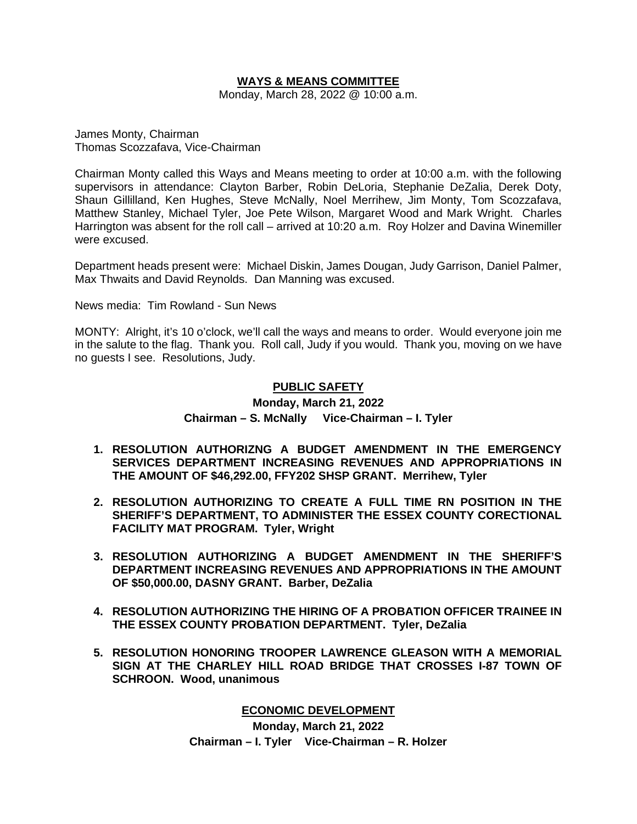## **WAYS & MEANS COMMITTEE**

Monday, March 28, 2022 @ 10:00 a.m.

James Monty, Chairman Thomas Scozzafava, Vice-Chairman

Chairman Monty called this Ways and Means meeting to order at 10:00 a.m. with the following supervisors in attendance: Clayton Barber, Robin DeLoria, Stephanie DeZalia, Derek Doty, Shaun Gillilland, Ken Hughes, Steve McNally, Noel Merrihew, Jim Monty, Tom Scozzafava, Matthew Stanley, Michael Tyler, Joe Pete Wilson, Margaret Wood and Mark Wright. Charles Harrington was absent for the roll call – arrived at 10:20 a.m. Roy Holzer and Davina Winemiller were excused.

Department heads present were: Michael Diskin, James Dougan, Judy Garrison, Daniel Palmer, Max Thwaits and David Reynolds. Dan Manning was excused.

News media: Tim Rowland - Sun News

MONTY: Alright, it's 10 o'clock, we'll call the ways and means to order. Would everyone join me in the salute to the flag. Thank you. Roll call, Judy if you would. Thank you, moving on we have no guests I see. Resolutions, Judy.

# **PUBLIC SAFETY**

# **Monday, March 21, 2022 Chairman – S. McNally Vice-Chairman – I. Tyler**

- **1. RESOLUTION AUTHORIZNG A BUDGET AMENDMENT IN THE EMERGENCY SERVICES DEPARTMENT INCREASING REVENUES AND APPROPRIATIONS IN THE AMOUNT OF \$46,292.00, FFY202 SHSP GRANT. Merrihew, Tyler**
- **2. RESOLUTION AUTHORIZING TO CREATE A FULL TIME RN POSITION IN THE SHERIFF'S DEPARTMENT, TO ADMINISTER THE ESSEX COUNTY CORECTIONAL FACILITY MAT PROGRAM. Tyler, Wright**
- **3. RESOLUTION AUTHORIZING A BUDGET AMENDMENT IN THE SHERIFF'S DEPARTMENT INCREASING REVENUES AND APPROPRIATIONS IN THE AMOUNT OF \$50,000.00, DASNY GRANT. Barber, DeZalia**
- **4. RESOLUTION AUTHORIZING THE HIRING OF A PROBATION OFFICER TRAINEE IN THE ESSEX COUNTY PROBATION DEPARTMENT. Tyler, DeZalia**
- **5. RESOLUTION HONORING TROOPER LAWRENCE GLEASON WITH A MEMORIAL SIGN AT THE CHARLEY HILL ROAD BRIDGE THAT CROSSES I-87 TOWN OF SCHROON. Wood, unanimous**

#### **ECONOMIC DEVELOPMENT**

**Monday, March 21, 2022 Chairman – I. Tyler Vice-Chairman – R. Holzer**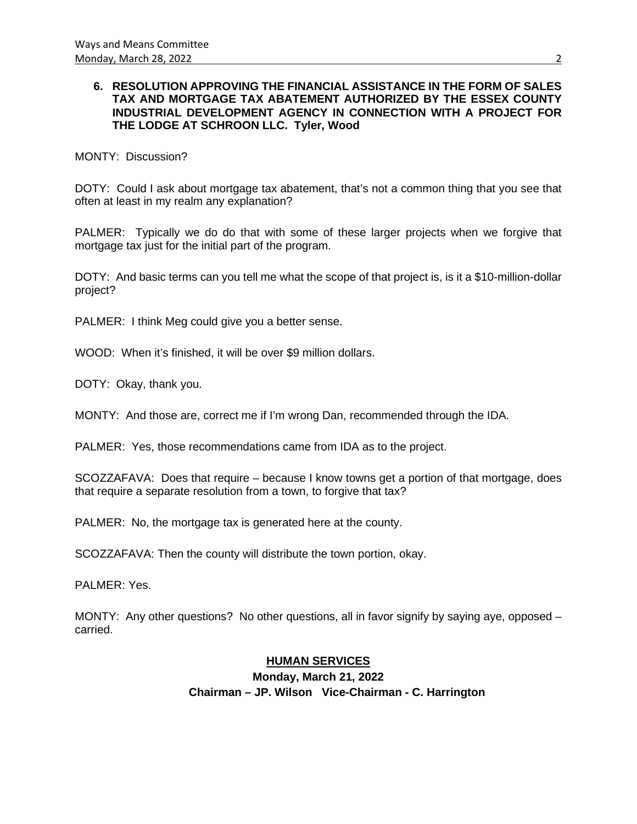## **6. RESOLUTION APPROVING THE FINANCIAL ASSISTANCE IN THE FORM OF SALES TAX AND MORTGAGE TAX ABATEMENT AUTHORIZED BY THE ESSEX COUNTY INDUSTRIAL DEVELOPMENT AGENCY IN CONNECTION WITH A PROJECT FOR THE LODGE AT SCHROON LLC. Tyler, Wood**

## MONTY: Discussion?

DOTY: Could I ask about mortgage tax abatement, that's not a common thing that you see that often at least in my realm any explanation?

PALMER: Typically we do do that with some of these larger projects when we forgive that mortgage tax just for the initial part of the program.

DOTY: And basic terms can you tell me what the scope of that project is, is it a \$10-million-dollar project?

PALMER: I think Meg could give you a better sense.

WOOD: When it's finished, it will be over \$9 million dollars.

DOTY: Okay, thank you.

MONTY: And those are, correct me if I'm wrong Dan, recommended through the IDA.

PALMER: Yes, those recommendations came from IDA as to the project.

SCOZZAFAVA: Does that require – because I know towns get a portion of that mortgage, does that require a separate resolution from a town, to forgive that tax?

PALMER: No, the mortgage tax is generated here at the county.

SCOZZAFAVA: Then the county will distribute the town portion, okay.

PALMER: Yes.

MONTY: Any other questions? No other questions, all in favor signify by saying aye, opposed – carried.

## **HUMAN SERVICES**

**Monday, March 21, 2022 Chairman – JP. Wilson Vice-Chairman - C. Harrington**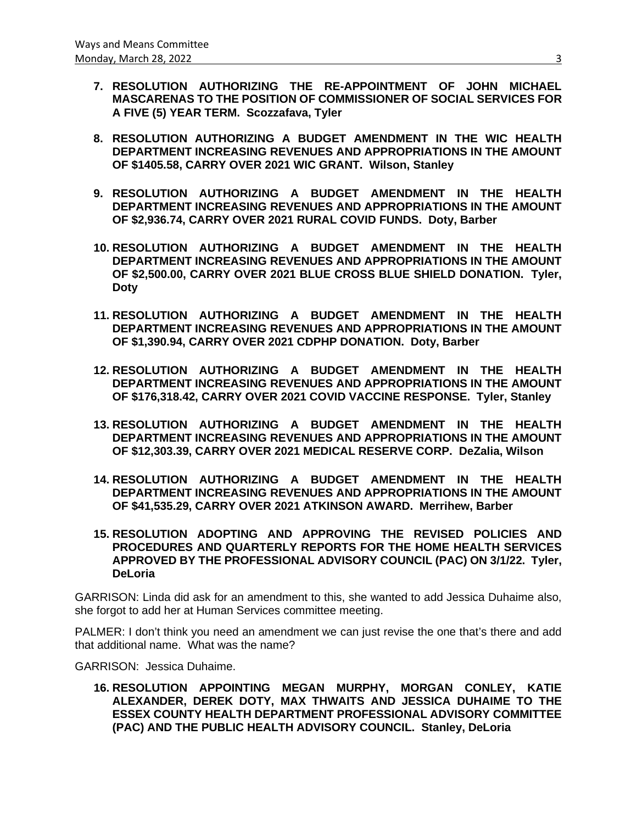- **7. RESOLUTION AUTHORIZING THE RE-APPOINTMENT OF JOHN MICHAEL MASCARENAS TO THE POSITION OF COMMISSIONER OF SOCIAL SERVICES FOR A FIVE (5) YEAR TERM. Scozzafava, Tyler**
- **8. RESOLUTION AUTHORIZING A BUDGET AMENDMENT IN THE WIC HEALTH DEPARTMENT INCREASING REVENUES AND APPROPRIATIONS IN THE AMOUNT OF \$1405.58, CARRY OVER 2021 WIC GRANT. Wilson, Stanley**
- **9. RESOLUTION AUTHORIZING A BUDGET AMENDMENT IN THE HEALTH DEPARTMENT INCREASING REVENUES AND APPROPRIATIONS IN THE AMOUNT OF \$2,936.74, CARRY OVER 2021 RURAL COVID FUNDS. Doty, Barber**
- **10. RESOLUTION AUTHORIZING A BUDGET AMENDMENT IN THE HEALTH DEPARTMENT INCREASING REVENUES AND APPROPRIATIONS IN THE AMOUNT OF \$2,500.00, CARRY OVER 2021 BLUE CROSS BLUE SHIELD DONATION. Tyler, Doty**
- **11. RESOLUTION AUTHORIZING A BUDGET AMENDMENT IN THE HEALTH DEPARTMENT INCREASING REVENUES AND APPROPRIATIONS IN THE AMOUNT OF \$1,390.94, CARRY OVER 2021 CDPHP DONATION. Doty, Barber**
- **12. RESOLUTION AUTHORIZING A BUDGET AMENDMENT IN THE HEALTH DEPARTMENT INCREASING REVENUES AND APPROPRIATIONS IN THE AMOUNT OF \$176,318.42, CARRY OVER 2021 COVID VACCINE RESPONSE. Tyler, Stanley**
- **13. RESOLUTION AUTHORIZING A BUDGET AMENDMENT IN THE HEALTH DEPARTMENT INCREASING REVENUES AND APPROPRIATIONS IN THE AMOUNT OF \$12,303.39, CARRY OVER 2021 MEDICAL RESERVE CORP. DeZalia, Wilson**
- **14. RESOLUTION AUTHORIZING A BUDGET AMENDMENT IN THE HEALTH DEPARTMENT INCREASING REVENUES AND APPROPRIATIONS IN THE AMOUNT OF \$41,535.29, CARRY OVER 2021 ATKINSON AWARD. Merrihew, Barber**
- **15. RESOLUTION ADOPTING AND APPROVING THE REVISED POLICIES AND PROCEDURES AND QUARTERLY REPORTS FOR THE HOME HEALTH SERVICES APPROVED BY THE PROFESSIONAL ADVISORY COUNCIL (PAC) ON 3/1/22. Tyler, DeLoria**

GARRISON: Linda did ask for an amendment to this, she wanted to add Jessica Duhaime also, she forgot to add her at Human Services committee meeting.

PALMER: I don't think you need an amendment we can just revise the one that's there and add that additional name. What was the name?

GARRISON: Jessica Duhaime.

**16. RESOLUTION APPOINTING MEGAN MURPHY, MORGAN CONLEY, KATIE ALEXANDER, DEREK DOTY, MAX THWAITS AND JESSICA DUHAIME TO THE ESSEX COUNTY HEALTH DEPARTMENT PROFESSIONAL ADVISORY COMMITTEE (PAC) AND THE PUBLIC HEALTH ADVISORY COUNCIL. Stanley, DeLoria**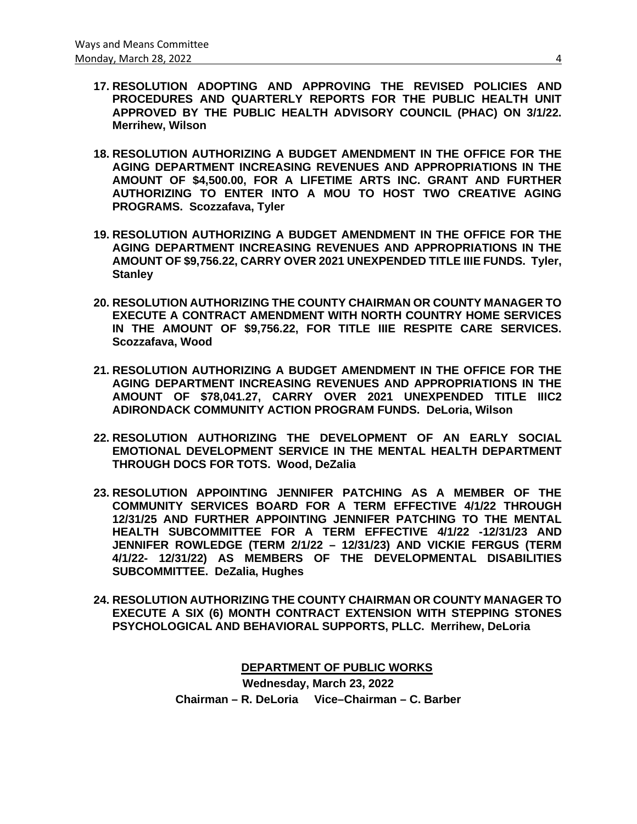- **17. RESOLUTION ADOPTING AND APPROVING THE REVISED POLICIES AND PROCEDURES AND QUARTERLY REPORTS FOR THE PUBLIC HEALTH UNIT APPROVED BY THE PUBLIC HEALTH ADVISORY COUNCIL (PHAC) ON 3/1/22. Merrihew, Wilson**
- **18. RESOLUTION AUTHORIZING A BUDGET AMENDMENT IN THE OFFICE FOR THE AGING DEPARTMENT INCREASING REVENUES AND APPROPRIATIONS IN THE AMOUNT OF \$4,500.00, FOR A LIFETIME ARTS INC. GRANT AND FURTHER AUTHORIZING TO ENTER INTO A MOU TO HOST TWO CREATIVE AGING PROGRAMS. Scozzafava, Tyler**
- **19. RESOLUTION AUTHORIZING A BUDGET AMENDMENT IN THE OFFICE FOR THE AGING DEPARTMENT INCREASING REVENUES AND APPROPRIATIONS IN THE AMOUNT OF \$9,756.22, CARRY OVER 2021 UNEXPENDED TITLE IIIE FUNDS. Tyler, Stanley**
- **20. RESOLUTION AUTHORIZING THE COUNTY CHAIRMAN OR COUNTY MANAGER TO EXECUTE A CONTRACT AMENDMENT WITH NORTH COUNTRY HOME SERVICES IN THE AMOUNT OF \$9,756.22, FOR TITLE IIIE RESPITE CARE SERVICES. Scozzafava, Wood**
- **21. RESOLUTION AUTHORIZING A BUDGET AMENDMENT IN THE OFFICE FOR THE AGING DEPARTMENT INCREASING REVENUES AND APPROPRIATIONS IN THE AMOUNT OF \$78,041.27, CARRY OVER 2021 UNEXPENDED TITLE IIIC2 ADIRONDACK COMMUNITY ACTION PROGRAM FUNDS. DeLoria, Wilson**
- **22. RESOLUTION AUTHORIZING THE DEVELOPMENT OF AN EARLY SOCIAL EMOTIONAL DEVELOPMENT SERVICE IN THE MENTAL HEALTH DEPARTMENT THROUGH DOCS FOR TOTS. Wood, DeZalia**
- **23. RESOLUTION APPOINTING JENNIFER PATCHING AS A MEMBER OF THE COMMUNITY SERVICES BOARD FOR A TERM EFFECTIVE 4/1/22 THROUGH 12/31/25 AND FURTHER APPOINTING JENNIFER PATCHING TO THE MENTAL HEALTH SUBCOMMITTEE FOR A TERM EFFECTIVE 4/1/22 -12/31/23 AND JENNIFER ROWLEDGE (TERM 2/1/22 – 12/31/23) AND VICKIE FERGUS (TERM 4/1/22- 12/31/22) AS MEMBERS OF THE DEVELOPMENTAL DISABILITIES SUBCOMMITTEE. DeZalia, Hughes**
- **24. RESOLUTION AUTHORIZING THE COUNTY CHAIRMAN OR COUNTY MANAGER TO EXECUTE A SIX (6) MONTH CONTRACT EXTENSION WITH STEPPING STONES PSYCHOLOGICAL AND BEHAVIORAL SUPPORTS, PLLC. Merrihew, DeLoria**

**DEPARTMENT OF PUBLIC WORKS Wednesday, March 23, 2022 Chairman – R. DeLoria Vice–Chairman – C. Barber**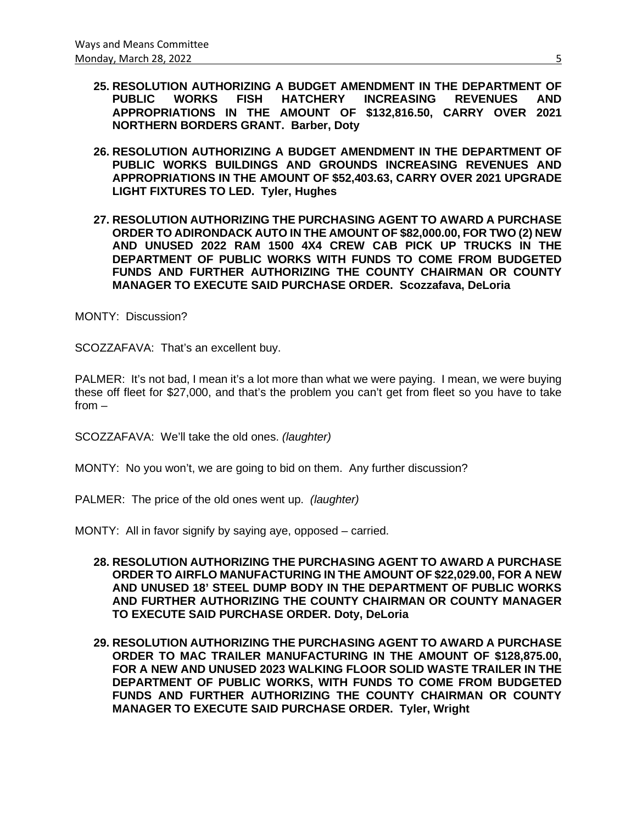- **25. RESOLUTION AUTHORIZING A BUDGET AMENDMENT IN THE DEPARTMENT OF PUBLIC WORKS FISH HATCHERY APPROPRIATIONS IN THE AMOUNT OF \$132,816.50, CARRY OVER 2021 NORTHERN BORDERS GRANT. Barber, Doty**
- **26. RESOLUTION AUTHORIZING A BUDGET AMENDMENT IN THE DEPARTMENT OF PUBLIC WORKS BUILDINGS AND GROUNDS INCREASING REVENUES AND APPROPRIATIONS IN THE AMOUNT OF \$52,403.63, CARRY OVER 2021 UPGRADE LIGHT FIXTURES TO LED. Tyler, Hughes**
- **27. RESOLUTION AUTHORIZING THE PURCHASING AGENT TO AWARD A PURCHASE ORDER TO ADIRONDACK AUTO IN THE AMOUNT OF \$82,000.00, FOR TWO (2) NEW AND UNUSED 2022 RAM 1500 4X4 CREW CAB PICK UP TRUCKS IN THE DEPARTMENT OF PUBLIC WORKS WITH FUNDS TO COME FROM BUDGETED FUNDS AND FURTHER AUTHORIZING THE COUNTY CHAIRMAN OR COUNTY MANAGER TO EXECUTE SAID PURCHASE ORDER. Scozzafava, DeLoria**

MONTY: Discussion?

SCOZZAFAVA: That's an excellent buy.

PALMER: It's not bad, I mean it's a lot more than what we were paying. I mean, we were buying these off fleet for \$27,000, and that's the problem you can't get from fleet so you have to take from –

SCOZZAFAVA: We'll take the old ones. *(laughter)*

MONTY: No you won't, we are going to bid on them. Any further discussion?

PALMER: The price of the old ones went up. *(laughter)*

MONTY: All in favor signify by saying aye, opposed – carried.

- **28. RESOLUTION AUTHORIZING THE PURCHASING AGENT TO AWARD A PURCHASE ORDER TO AIRFLO MANUFACTURING IN THE AMOUNT OF \$22,029.00, FOR A NEW AND UNUSED 18' STEEL DUMP BODY IN THE DEPARTMENT OF PUBLIC WORKS AND FURTHER AUTHORIZING THE COUNTY CHAIRMAN OR COUNTY MANAGER TO EXECUTE SAID PURCHASE ORDER. Doty, DeLoria**
- **29. RESOLUTION AUTHORIZING THE PURCHASING AGENT TO AWARD A PURCHASE ORDER TO MAC TRAILER MANUFACTURING IN THE AMOUNT OF \$128,875.00, FOR A NEW AND UNUSED 2023 WALKING FLOOR SOLID WASTE TRAILER IN THE DEPARTMENT OF PUBLIC WORKS, WITH FUNDS TO COME FROM BUDGETED FUNDS AND FURTHER AUTHORIZING THE COUNTY CHAIRMAN OR COUNTY MANAGER TO EXECUTE SAID PURCHASE ORDER. Tyler, Wright**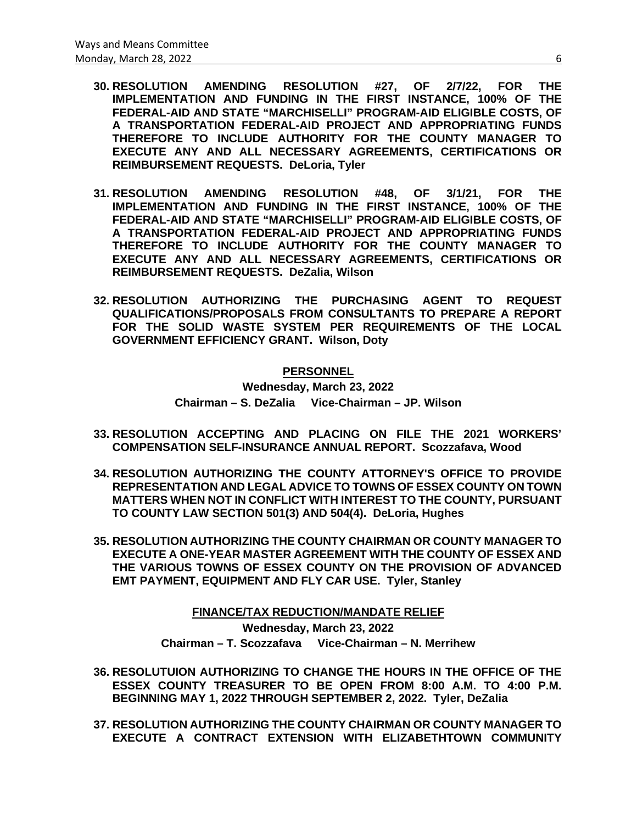- **30. RESOLUTION AMENDING RESOLUTION #27, OF 2/7/22, FOR THE IMPLEMENTATION AND FUNDING IN THE FIRST INSTANCE, 100% OF THE FEDERAL-AID AND STATE "MARCHISELLI" PROGRAM-AID ELIGIBLE COSTS, OF A TRANSPORTATION FEDERAL-AID PROJECT AND APPROPRIATING FUNDS THEREFORE TO INCLUDE AUTHORITY FOR THE COUNTY MANAGER TO EXECUTE ANY AND ALL NECESSARY AGREEMENTS, CERTIFICATIONS OR REIMBURSEMENT REQUESTS. DeLoria, Tyler**
- **31. RESOLUTION AMENDING RESOLUTION #48, OF 3/1/21, FOR THE IMPLEMENTATION AND FUNDING IN THE FIRST INSTANCE, 100% OF THE FEDERAL-AID AND STATE "MARCHISELLI" PROGRAM-AID ELIGIBLE COSTS, OF A TRANSPORTATION FEDERAL-AID PROJECT AND APPROPRIATING FUNDS THEREFORE TO INCLUDE AUTHORITY FOR THE COUNTY MANAGER TO EXECUTE ANY AND ALL NECESSARY AGREEMENTS, CERTIFICATIONS OR REIMBURSEMENT REQUESTS. DeZalia, Wilson**
- **32. RESOLUTION AUTHORIZING THE PURCHASING AGENT TO REQUEST QUALIFICATIONS/PROPOSALS FROM CONSULTANTS TO PREPARE A REPORT FOR THE SOLID WASTE SYSTEM PER REQUIREMENTS OF THE LOCAL GOVERNMENT EFFICIENCY GRANT. Wilson, Doty**

#### **PERSONNEL**

**Wednesday, March 23, 2022 Chairman – S. DeZalia Vice-Chairman – JP. Wilson**

- **33. RESOLUTION ACCEPTING AND PLACING ON FILE THE 2021 WORKERS' COMPENSATION SELF-INSURANCE ANNUAL REPORT. Scozzafava, Wood**
- **34. RESOLUTION AUTHORIZING THE COUNTY ATTORNEY'S OFFICE TO PROVIDE REPRESENTATION AND LEGAL ADVICE TO TOWNS OF ESSEX COUNTY ON TOWN MATTERS WHEN NOT IN CONFLICT WITH INTEREST TO THE COUNTY, PURSUANT TO COUNTY LAW SECTION 501(3) AND 504(4). DeLoria, Hughes**
- **35. RESOLUTION AUTHORIZING THE COUNTY CHAIRMAN OR COUNTY MANAGER TO EXECUTE A ONE-YEAR MASTER AGREEMENT WITH THE COUNTY OF ESSEX AND THE VARIOUS TOWNS OF ESSEX COUNTY ON THE PROVISION OF ADVANCED EMT PAYMENT, EQUIPMENT AND FLY CAR USE. Tyler, Stanley**

**FINANCE/TAX REDUCTION/MANDATE RELIEF Wednesday, March 23, 2022 Chairman – T. Scozzafava Vice-Chairman – N. Merrihew**

- **36. RESOLUTUION AUTHORIZING TO CHANGE THE HOURS IN THE OFFICE OF THE ESSEX COUNTY TREASURER TO BE OPEN FROM 8:00 A.M. TO 4:00 P.M. BEGINNING MAY 1, 2022 THROUGH SEPTEMBER 2, 2022. Tyler, DeZalia**
- **37. RESOLUTION AUTHORIZING THE COUNTY CHAIRMAN OR COUNTY MANAGER TO EXECUTE A CONTRACT EXTENSION WITH ELIZABETHTOWN COMMUNITY**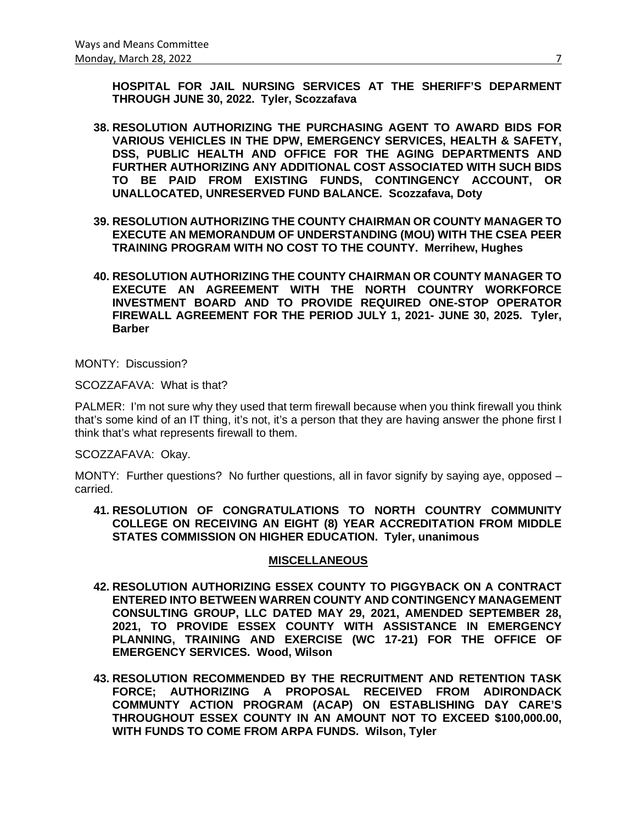**HOSPITAL FOR JAIL NURSING SERVICES AT THE SHERIFF'S DEPARMENT THROUGH JUNE 30, 2022. Tyler, Scozzafava**

- **38. RESOLUTION AUTHORIZING THE PURCHASING AGENT TO AWARD BIDS FOR VARIOUS VEHICLES IN THE DPW, EMERGENCY SERVICES, HEALTH & SAFETY, DSS, PUBLIC HEALTH AND OFFICE FOR THE AGING DEPARTMENTS AND FURTHER AUTHORIZING ANY ADDITIONAL COST ASSOCIATED WITH SUCH BIDS TO BE PAID FROM EXISTING FUNDS, CONTINGENCY ACCOUNT, OR UNALLOCATED, UNRESERVED FUND BALANCE. Scozzafava, Doty**
- **39. RESOLUTION AUTHORIZING THE COUNTY CHAIRMAN OR COUNTY MANAGER TO EXECUTE AN MEMORANDUM OF UNDERSTANDING (MOU) WITH THE CSEA PEER TRAINING PROGRAM WITH NO COST TO THE COUNTY. Merrihew, Hughes**
- **40. RESOLUTION AUTHORIZING THE COUNTY CHAIRMAN OR COUNTY MANAGER TO EXECUTE AN AGREEMENT WITH THE NORTH COUNTRY WORKFORCE INVESTMENT BOARD AND TO PROVIDE REQUIRED ONE-STOP OPERATOR FIREWALL AGREEMENT FOR THE PERIOD JULY 1, 2021- JUNE 30, 2025. Tyler, Barber**

MONTY: Discussion?

SCOZZAFAVA: What is that?

PALMER: I'm not sure why they used that term firewall because when you think firewall you think that's some kind of an IT thing, it's not, it's a person that they are having answer the phone first I think that's what represents firewall to them.

SCOZZAFAVA: Okay.

MONTY: Further questions? No further questions, all in favor signify by saying aye, opposed – carried.

**41. RESOLUTION OF CONGRATULATIONS TO NORTH COUNTRY COMMUNITY COLLEGE ON RECEIVING AN EIGHT (8) YEAR ACCREDITATION FROM MIDDLE STATES COMMISSION ON HIGHER EDUCATION. Tyler, unanimous**

#### **MISCELLANEOUS**

- **42. RESOLUTION AUTHORIZING ESSEX COUNTY TO PIGGYBACK ON A CONTRACT ENTERED INTO BETWEEN WARREN COUNTY AND CONTINGENCY MANAGEMENT CONSULTING GROUP, LLC DATED MAY 29, 2021, AMENDED SEPTEMBER 28, 2021, TO PROVIDE ESSEX COUNTY WITH ASSISTANCE IN EMERGENCY PLANNING, TRAINING AND EXERCISE (WC 17-21) FOR THE OFFICE OF EMERGENCY SERVICES. Wood, Wilson**
- **43. RESOLUTION RECOMMENDED BY THE RECRUITMENT AND RETENTION TASK FORCE; AUTHORIZING A PROPOSAL RECEIVED FROM ADIRONDACK COMMUNTY ACTION PROGRAM (ACAP) ON ESTABLISHING DAY CARE'S THROUGHOUT ESSEX COUNTY IN AN AMOUNT NOT TO EXCEED \$100,000.00, WITH FUNDS TO COME FROM ARPA FUNDS. Wilson, Tyler**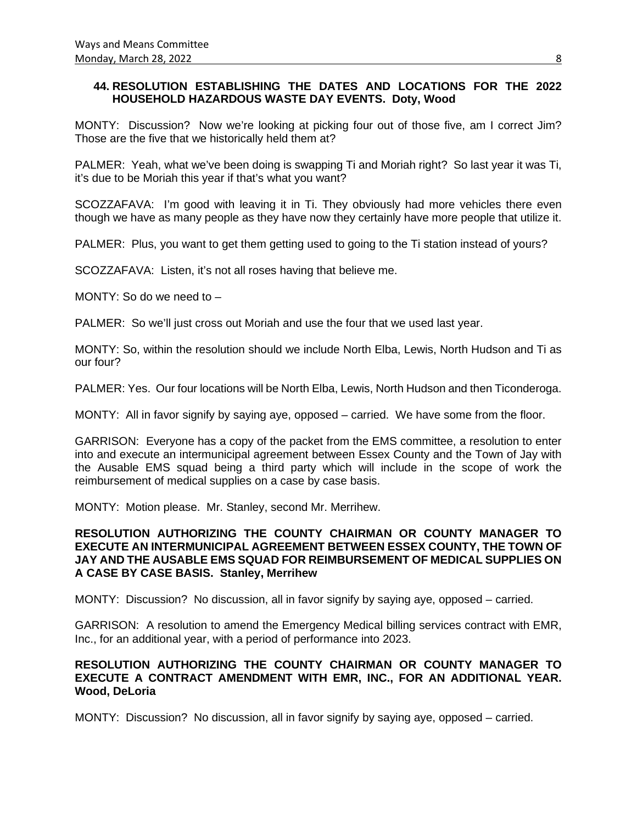## **44. RESOLUTION ESTABLISHING THE DATES AND LOCATIONS FOR THE 2022 HOUSEHOLD HAZARDOUS WASTE DAY EVENTS. Doty, Wood**

MONTY: Discussion? Now we're looking at picking four out of those five, am I correct Jim? Those are the five that we historically held them at?

PALMER: Yeah, what we've been doing is swapping Ti and Moriah right? So last year it was Ti, it's due to be Moriah this year if that's what you want?

SCOZZAFAVA: I'm good with leaving it in Ti. They obviously had more vehicles there even though we have as many people as they have now they certainly have more people that utilize it.

PALMER: Plus, you want to get them getting used to going to the Ti station instead of yours?

SCOZZAFAVA: Listen, it's not all roses having that believe me.

MONTY: So do we need to –

PALMER: So we'll just cross out Moriah and use the four that we used last year.

MONTY: So, within the resolution should we include North Elba, Lewis, North Hudson and Ti as our four?

PALMER: Yes. Our four locations will be North Elba, Lewis, North Hudson and then Ticonderoga.

MONTY: All in favor signify by saying aye, opposed – carried. We have some from the floor.

GARRISON: Everyone has a copy of the packet from the EMS committee, a resolution to enter into and execute an intermunicipal agreement between Essex County and the Town of Jay with the Ausable EMS squad being a third party which will include in the scope of work the reimbursement of medical supplies on a case by case basis.

MONTY: Motion please. Mr. Stanley, second Mr. Merrihew.

#### **RESOLUTION AUTHORIZING THE COUNTY CHAIRMAN OR COUNTY MANAGER TO EXECUTE AN INTERMUNICIPAL AGREEMENT BETWEEN ESSEX COUNTY, THE TOWN OF JAY AND THE AUSABLE EMS SQUAD FOR REIMBURSEMENT OF MEDICAL SUPPLIES ON A CASE BY CASE BASIS. Stanley, Merrihew**

MONTY: Discussion? No discussion, all in favor signify by saying aye, opposed – carried.

GARRISON: A resolution to amend the Emergency Medical billing services contract with EMR, Inc., for an additional year, with a period of performance into 2023.

## **RESOLUTION AUTHORIZING THE COUNTY CHAIRMAN OR COUNTY MANAGER TO EXECUTE A CONTRACT AMENDMENT WITH EMR, INC., FOR AN ADDITIONAL YEAR. Wood, DeLoria**

MONTY: Discussion? No discussion, all in favor signify by saying aye, opposed – carried.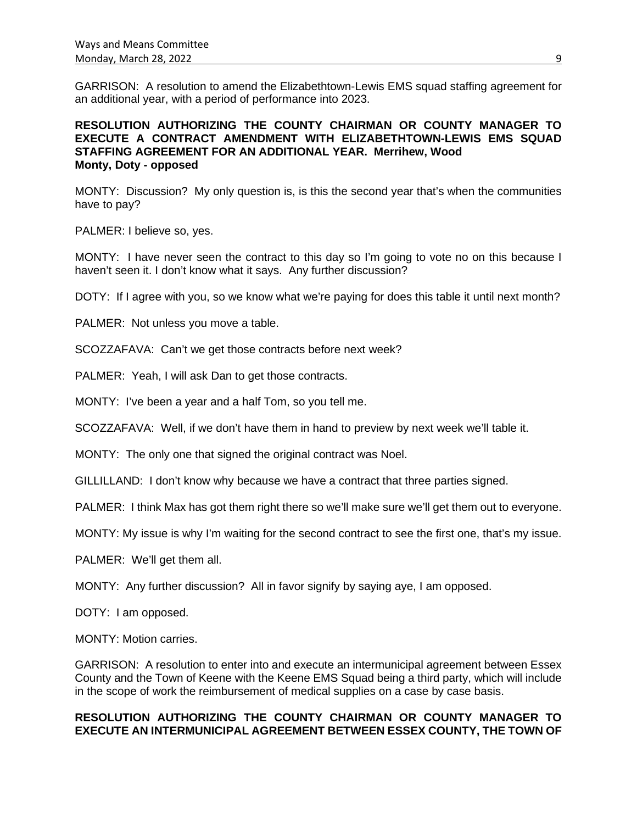GARRISON: A resolution to amend the Elizabethtown-Lewis EMS squad staffing agreement for an additional year, with a period of performance into 2023.

## **RESOLUTION AUTHORIZING THE COUNTY CHAIRMAN OR COUNTY MANAGER TO EXECUTE A CONTRACT AMENDMENT WITH ELIZABETHTOWN-LEWIS EMS SQUAD STAFFING AGREEMENT FOR AN ADDITIONAL YEAR. Merrihew, Wood Monty, Doty - opposed**

MONTY: Discussion? My only question is, is this the second year that's when the communities have to pay?

PALMER: I believe so, yes.

MONTY: I have never seen the contract to this day so I'm going to vote no on this because I haven't seen it. I don't know what it says. Any further discussion?

DOTY: If I agree with you, so we know what we're paying for does this table it until next month?

PALMER: Not unless you move a table.

SCOZZAFAVA: Can't we get those contracts before next week?

PALMER: Yeah, I will ask Dan to get those contracts.

MONTY: I've been a year and a half Tom, so you tell me.

SCOZZAFAVA: Well, if we don't have them in hand to preview by next week we'll table it.

MONTY: The only one that signed the original contract was Noel.

GILLILLAND: I don't know why because we have a contract that three parties signed.

PALMER: I think Max has got them right there so we'll make sure we'll get them out to everyone.

MONTY: My issue is why I'm waiting for the second contract to see the first one, that's my issue.

PALMER: We'll get them all.

MONTY: Any further discussion? All in favor signify by saying aye, I am opposed.

DOTY: I am opposed.

MONTY: Motion carries.

GARRISON: A resolution to enter into and execute an intermunicipal agreement between Essex County and the Town of Keene with the Keene EMS Squad being a third party, which will include in the scope of work the reimbursement of medical supplies on a case by case basis.

## **RESOLUTION AUTHORIZING THE COUNTY CHAIRMAN OR COUNTY MANAGER TO EXECUTE AN INTERMUNICIPAL AGREEMENT BETWEEN ESSEX COUNTY, THE TOWN OF**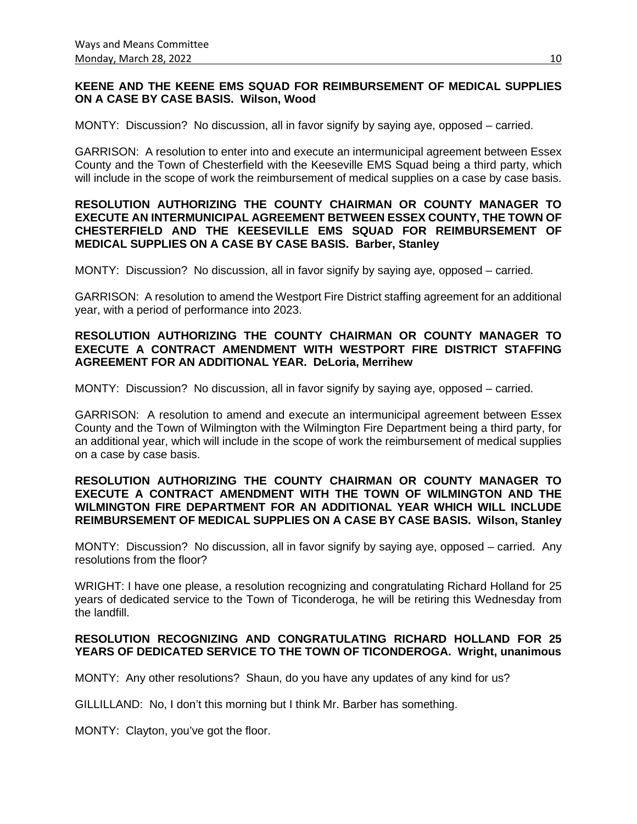### **KEENE AND THE KEENE EMS SQUAD FOR REIMBURSEMENT OF MEDICAL SUPPLIES ON A CASE BY CASE BASIS. Wilson, Wood**

MONTY: Discussion? No discussion, all in favor signify by saying aye, opposed – carried.

GARRISON: A resolution to enter into and execute an intermunicipal agreement between Essex County and the Town of Chesterfield with the Keeseville EMS Squad being a third party, which will include in the scope of work the reimbursement of medical supplies on a case by case basis.

## **RESOLUTION AUTHORIZING THE COUNTY CHAIRMAN OR COUNTY MANAGER TO EXECUTE AN INTERMUNICIPAL AGREEMENT BETWEEN ESSEX COUNTY, THE TOWN OF CHESTERFIELD AND THE KEESEVILLE EMS SQUAD FOR REIMBURSEMENT OF MEDICAL SUPPLIES ON A CASE BY CASE BASIS. Barber, Stanley**

MONTY: Discussion? No discussion, all in favor signify by saying aye, opposed – carried.

GARRISON: A resolution to amend the Westport Fire District staffing agreement for an additional year, with a period of performance into 2023.

## **RESOLUTION AUTHORIZING THE COUNTY CHAIRMAN OR COUNTY MANAGER TO EXECUTE A CONTRACT AMENDMENT WITH WESTPORT FIRE DISTRICT STAFFING AGREEMENT FOR AN ADDITIONAL YEAR. DeLoria, Merrihew**

MONTY: Discussion? No discussion, all in favor signify by saying aye, opposed – carried.

GARRISON: A resolution to amend and execute an intermunicipal agreement between Essex County and the Town of Wilmington with the Wilmington Fire Department being a third party, for an additional year, which will include in the scope of work the reimbursement of medical supplies on a case by case basis.

## **RESOLUTION AUTHORIZING THE COUNTY CHAIRMAN OR COUNTY MANAGER TO EXECUTE A CONTRACT AMENDMENT WITH THE TOWN OF WILMINGTON AND THE WILMINGTON FIRE DEPARTMENT FOR AN ADDITIONAL YEAR WHICH WILL INCLUDE REIMBURSEMENT OF MEDICAL SUPPLIES ON A CASE BY CASE BASIS. Wilson, Stanley**

MONTY: Discussion? No discussion, all in favor signify by saying aye, opposed – carried. Any resolutions from the floor?

WRIGHT: I have one please, a resolution recognizing and congratulating Richard Holland for 25 years of dedicated service to the Town of Ticonderoga, he will be retiring this Wednesday from the landfill.

## **RESOLUTION RECOGNIZING AND CONGRATULATING RICHARD HOLLAND FOR 25 YEARS OF DEDICATED SERVICE TO THE TOWN OF TICONDEROGA. Wright, unanimous**

MONTY: Any other resolutions? Shaun, do you have any updates of any kind for us?

GILLILLAND: No, I don't this morning but I think Mr. Barber has something.

MONTY: Clayton, you've got the floor.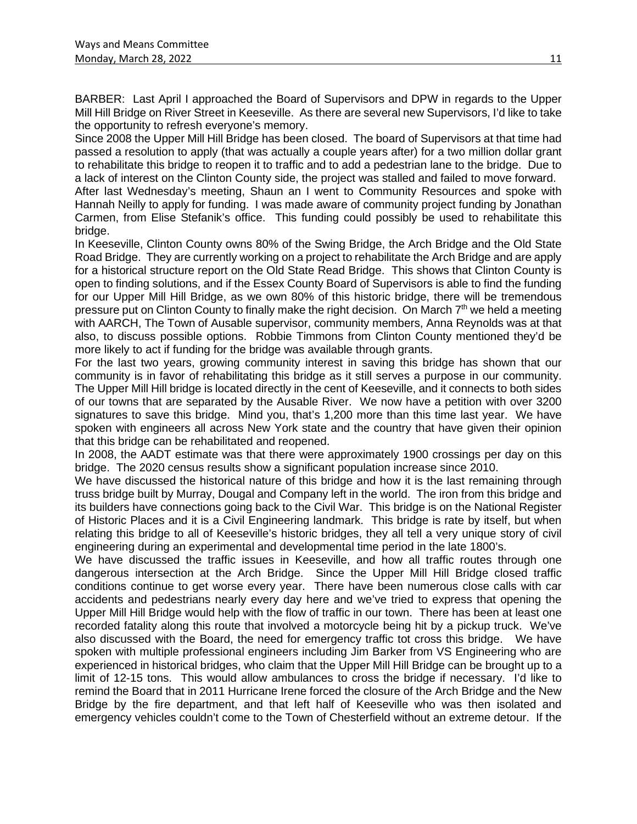BARBER: Last April I approached the Board of Supervisors and DPW in regards to the Upper Mill Hill Bridge on River Street in Keeseville. As there are several new Supervisors, I'd like to take the opportunity to refresh everyone's memory.

Since 2008 the Upper Mill Hill Bridge has been closed. The board of Supervisors at that time had passed a resolution to apply (that was actually a couple years after) for a two million dollar grant to rehabilitate this bridge to reopen it to traffic and to add a pedestrian lane to the bridge. Due to a lack of interest on the Clinton County side, the project was stalled and failed to move forward.

After last Wednesday's meeting, Shaun an I went to Community Resources and spoke with Hannah Neilly to apply for funding. I was made aware of community project funding by Jonathan Carmen, from Elise Stefanik's office. This funding could possibly be used to rehabilitate this bridge.

In Keeseville, Clinton County owns 80% of the Swing Bridge, the Arch Bridge and the Old State Road Bridge. They are currently working on a project to rehabilitate the Arch Bridge and are apply for a historical structure report on the Old State Read Bridge. This shows that Clinton County is open to finding solutions, and if the Essex County Board of Supervisors is able to find the funding for our Upper Mill Hill Bridge, as we own 80% of this historic bridge, there will be tremendous pressure put on Clinton County to finally make the right decision. On March 7<sup>th</sup> we held a meeting with AARCH, The Town of Ausable supervisor, community members, Anna Reynolds was at that also, to discuss possible options. Robbie Timmons from Clinton County mentioned they'd be more likely to act if funding for the bridge was available through grants.

For the last two years, growing community interest in saving this bridge has shown that our community is in favor of rehabilitating this bridge as it still serves a purpose in our community. The Upper Mill Hill bridge is located directly in the cent of Keeseville, and it connects to both sides of our towns that are separated by the Ausable River. We now have a petition with over 3200 signatures to save this bridge. Mind you, that's 1,200 more than this time last year. We have spoken with engineers all across New York state and the country that have given their opinion that this bridge can be rehabilitated and reopened.

In 2008, the AADT estimate was that there were approximately 1900 crossings per day on this bridge. The 2020 census results show a significant population increase since 2010.

We have discussed the historical nature of this bridge and how it is the last remaining through truss bridge built by Murray, Dougal and Company left in the world. The iron from this bridge and its builders have connections going back to the Civil War. This bridge is on the National Register of Historic Places and it is a Civil Engineering landmark. This bridge is rate by itself, but when relating this bridge to all of Keeseville's historic bridges, they all tell a very unique story of civil engineering during an experimental and developmental time period in the late 1800's.

We have discussed the traffic issues in Keeseville, and how all traffic routes through one dangerous intersection at the Arch Bridge. Since the Upper Mill Hill Bridge closed traffic conditions continue to get worse every year. There have been numerous close calls with car accidents and pedestrians nearly every day here and we've tried to express that opening the Upper Mill Hill Bridge would help with the flow of traffic in our town. There has been at least one recorded fatality along this route that involved a motorcycle being hit by a pickup truck. We've also discussed with the Board, the need for emergency traffic tot cross this bridge. We have spoken with multiple professional engineers including Jim Barker from VS Engineering who are experienced in historical bridges, who claim that the Upper Mill Hill Bridge can be brought up to a limit of 12-15 tons. This would allow ambulances to cross the bridge if necessary. I'd like to remind the Board that in 2011 Hurricane Irene forced the closure of the Arch Bridge and the New Bridge by the fire department, and that left half of Keeseville who was then isolated and emergency vehicles couldn't come to the Town of Chesterfield without an extreme detour. If the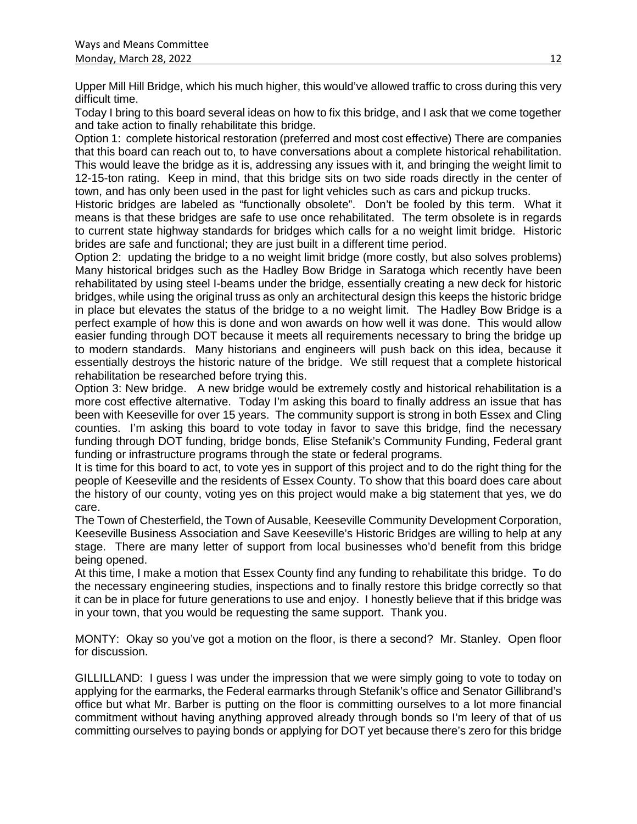Upper Mill Hill Bridge, which his much higher, this would've allowed traffic to cross during this very difficult time.

Today I bring to this board several ideas on how to fix this bridge, and I ask that we come together and take action to finally rehabilitate this bridge.

Option 1: complete historical restoration (preferred and most cost effective) There are companies that this board can reach out to, to have conversations about a complete historical rehabilitation. This would leave the bridge as it is, addressing any issues with it, and bringing the weight limit to 12-15-ton rating. Keep in mind, that this bridge sits on two side roads directly in the center of town, and has only been used in the past for light vehicles such as cars and pickup trucks.

Historic bridges are labeled as "functionally obsolete". Don't be fooled by this term. What it means is that these bridges are safe to use once rehabilitated. The term obsolete is in regards to current state highway standards for bridges which calls for a no weight limit bridge. Historic brides are safe and functional; they are just built in a different time period.

Option 2: updating the bridge to a no weight limit bridge (more costly, but also solves problems) Many historical bridges such as the Hadley Bow Bridge in Saratoga which recently have been rehabilitated by using steel I-beams under the bridge, essentially creating a new deck for historic bridges, while using the original truss as only an architectural design this keeps the historic bridge in place but elevates the status of the bridge to a no weight limit. The Hadley Bow Bridge is a perfect example of how this is done and won awards on how well it was done. This would allow easier funding through DOT because it meets all requirements necessary to bring the bridge up to modern standards. Many historians and engineers will push back on this idea, because it essentially destroys the historic nature of the bridge. We still request that a complete historical rehabilitation be researched before trying this.

Option 3: New bridge. A new bridge would be extremely costly and historical rehabilitation is a more cost effective alternative. Today I'm asking this board to finally address an issue that has been with Keeseville for over 15 years. The community support is strong in both Essex and Cling counties. I'm asking this board to vote today in favor to save this bridge, find the necessary funding through DOT funding, bridge bonds, Elise Stefanik's Community Funding, Federal grant funding or infrastructure programs through the state or federal programs.

It is time for this board to act, to vote yes in support of this project and to do the right thing for the people of Keeseville and the residents of Essex County. To show that this board does care about the history of our county, voting yes on this project would make a big statement that yes, we do care.

The Town of Chesterfield, the Town of Ausable, Keeseville Community Development Corporation, Keeseville Business Association and Save Keeseville's Historic Bridges are willing to help at any stage. There are many letter of support from local businesses who'd benefit from this bridge being opened.

At this time, I make a motion that Essex County find any funding to rehabilitate this bridge. To do the necessary engineering studies, inspections and to finally restore this bridge correctly so that it can be in place for future generations to use and enjoy. I honestly believe that if this bridge was in your town, that you would be requesting the same support. Thank you.

MONTY: Okay so you've got a motion on the floor, is there a second? Mr. Stanley. Open floor for discussion.

GILLILLAND: I guess I was under the impression that we were simply going to vote to today on applying for the earmarks, the Federal earmarks through Stefanik's office and Senator Gillibrand's office but what Mr. Barber is putting on the floor is committing ourselves to a lot more financial commitment without having anything approved already through bonds so I'm leery of that of us committing ourselves to paying bonds or applying for DOT yet because there's zero for this bridge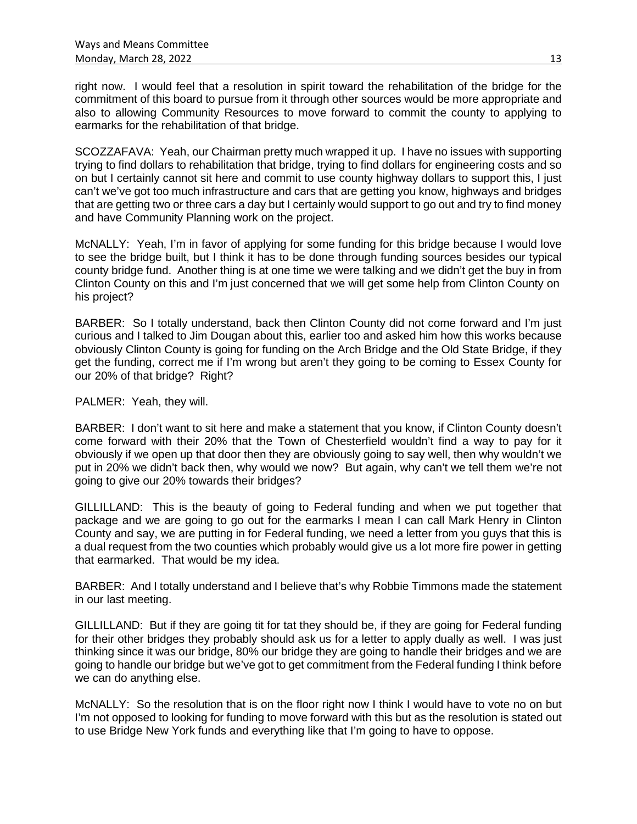right now. I would feel that a resolution in spirit toward the rehabilitation of the bridge for the commitment of this board to pursue from it through other sources would be more appropriate and also to allowing Community Resources to move forward to commit the county to applying to earmarks for the rehabilitation of that bridge.

SCOZZAFAVA: Yeah, our Chairman pretty much wrapped it up. I have no issues with supporting trying to find dollars to rehabilitation that bridge, trying to find dollars for engineering costs and so on but I certainly cannot sit here and commit to use county highway dollars to support this, I just can't we've got too much infrastructure and cars that are getting you know, highways and bridges that are getting two or three cars a day but I certainly would support to go out and try to find money and have Community Planning work on the project.

McNALLY: Yeah, I'm in favor of applying for some funding for this bridge because I would love to see the bridge built, but I think it has to be done through funding sources besides our typical county bridge fund. Another thing is at one time we were talking and we didn't get the buy in from Clinton County on this and I'm just concerned that we will get some help from Clinton County on his project?

BARBER: So I totally understand, back then Clinton County did not come forward and I'm just curious and I talked to Jim Dougan about this, earlier too and asked him how this works because obviously Clinton County is going for funding on the Arch Bridge and the Old State Bridge, if they get the funding, correct me if I'm wrong but aren't they going to be coming to Essex County for our 20% of that bridge? Right?

PALMER: Yeah, they will.

BARBER: I don't want to sit here and make a statement that you know, if Clinton County doesn't come forward with their 20% that the Town of Chesterfield wouldn't find a way to pay for it obviously if we open up that door then they are obviously going to say well, then why wouldn't we put in 20% we didn't back then, why would we now? But again, why can't we tell them we're not going to give our 20% towards their bridges?

GILLILLAND: This is the beauty of going to Federal funding and when we put together that package and we are going to go out for the earmarks I mean I can call Mark Henry in Clinton County and say, we are putting in for Federal funding, we need a letter from you guys that this is a dual request from the two counties which probably would give us a lot more fire power in getting that earmarked. That would be my idea.

BARBER: And I totally understand and I believe that's why Robbie Timmons made the statement in our last meeting.

GILLILLAND: But if they are going tit for tat they should be, if they are going for Federal funding for their other bridges they probably should ask us for a letter to apply dually as well. I was just thinking since it was our bridge, 80% our bridge they are going to handle their bridges and we are going to handle our bridge but we've got to get commitment from the Federal funding I think before we can do anything else.

McNALLY: So the resolution that is on the floor right now I think I would have to vote no on but I'm not opposed to looking for funding to move forward with this but as the resolution is stated out to use Bridge New York funds and everything like that I'm going to have to oppose.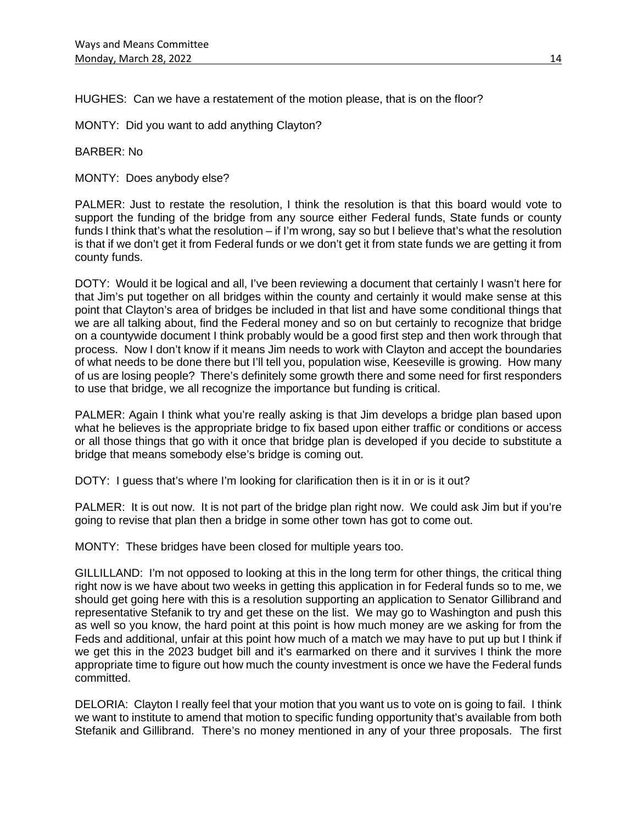HUGHES: Can we have a restatement of the motion please, that is on the floor?

MONTY: Did you want to add anything Clayton?

BARBER: No

MONTY: Does anybody else?

PALMER: Just to restate the resolution, I think the resolution is that this board would vote to support the funding of the bridge from any source either Federal funds, State funds or county funds I think that's what the resolution – if I'm wrong, say so but I believe that's what the resolution is that if we don't get it from Federal funds or we don't get it from state funds we are getting it from county funds.

DOTY: Would it be logical and all, I've been reviewing a document that certainly I wasn't here for that Jim's put together on all bridges within the county and certainly it would make sense at this point that Clayton's area of bridges be included in that list and have some conditional things that we are all talking about, find the Federal money and so on but certainly to recognize that bridge on a countywide document I think probably would be a good first step and then work through that process. Now I don't know if it means Jim needs to work with Clayton and accept the boundaries of what needs to be done there but I'll tell you, population wise, Keeseville is growing. How many of us are losing people? There's definitely some growth there and some need for first responders to use that bridge, we all recognize the importance but funding is critical.

PALMER: Again I think what you're really asking is that Jim develops a bridge plan based upon what he believes is the appropriate bridge to fix based upon either traffic or conditions or access or all those things that go with it once that bridge plan is developed if you decide to substitute a bridge that means somebody else's bridge is coming out.

DOTY: I quess that's where I'm looking for clarification then is it in or is it out?

PALMER: It is out now. It is not part of the bridge plan right now. We could ask Jim but if you're going to revise that plan then a bridge in some other town has got to come out.

MONTY: These bridges have been closed for multiple years too.

GILLILLAND: I'm not opposed to looking at this in the long term for other things, the critical thing right now is we have about two weeks in getting this application in for Federal funds so to me, we should get going here with this is a resolution supporting an application to Senator Gillibrand and representative Stefanik to try and get these on the list. We may go to Washington and push this as well so you know, the hard point at this point is how much money are we asking for from the Feds and additional, unfair at this point how much of a match we may have to put up but I think if we get this in the 2023 budget bill and it's earmarked on there and it survives I think the more appropriate time to figure out how much the county investment is once we have the Federal funds committed.

DELORIA: Clayton I really feel that your motion that you want us to vote on is going to fail. I think we want to institute to amend that motion to specific funding opportunity that's available from both Stefanik and Gillibrand. There's no money mentioned in any of your three proposals. The first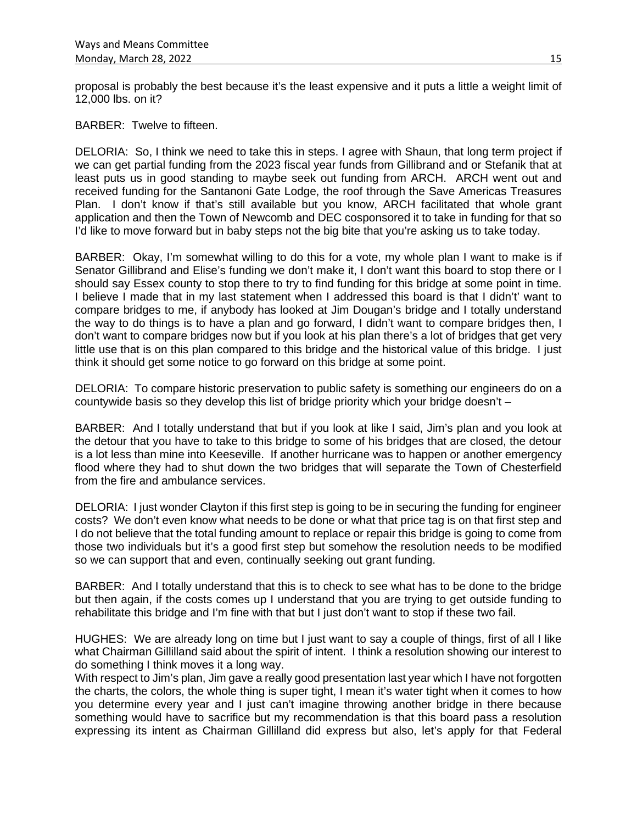proposal is probably the best because it's the least expensive and it puts a little a weight limit of 12,000 lbs. on it?

BARBER: Twelve to fifteen.

DELORIA: So, I think we need to take this in steps. I agree with Shaun, that long term project if we can get partial funding from the 2023 fiscal year funds from Gillibrand and or Stefanik that at least puts us in good standing to maybe seek out funding from ARCH. ARCH went out and received funding for the Santanoni Gate Lodge, the roof through the Save Americas Treasures Plan. I don't know if that's still available but you know, ARCH facilitated that whole grant application and then the Town of Newcomb and DEC cosponsored it to take in funding for that so I'd like to move forward but in baby steps not the big bite that you're asking us to take today.

BARBER: Okay, I'm somewhat willing to do this for a vote, my whole plan I want to make is if Senator Gillibrand and Elise's funding we don't make it, I don't want this board to stop there or I should say Essex county to stop there to try to find funding for this bridge at some point in time. I believe I made that in my last statement when I addressed this board is that I didn't' want to compare bridges to me, if anybody has looked at Jim Dougan's bridge and I totally understand the way to do things is to have a plan and go forward, I didn't want to compare bridges then, I don't want to compare bridges now but if you look at his plan there's a lot of bridges that get very little use that is on this plan compared to this bridge and the historical value of this bridge. I just think it should get some notice to go forward on this bridge at some point.

DELORIA: To compare historic preservation to public safety is something our engineers do on a countywide basis so they develop this list of bridge priority which your bridge doesn't –

BARBER: And I totally understand that but if you look at like I said, Jim's plan and you look at the detour that you have to take to this bridge to some of his bridges that are closed, the detour is a lot less than mine into Keeseville. If another hurricane was to happen or another emergency flood where they had to shut down the two bridges that will separate the Town of Chesterfield from the fire and ambulance services.

DELORIA: I just wonder Clayton if this first step is going to be in securing the funding for engineer costs? We don't even know what needs to be done or what that price tag is on that first step and I do not believe that the total funding amount to replace or repair this bridge is going to come from those two individuals but it's a good first step but somehow the resolution needs to be modified so we can support that and even, continually seeking out grant funding.

BARBER: And I totally understand that this is to check to see what has to be done to the bridge but then again, if the costs comes up I understand that you are trying to get outside funding to rehabilitate this bridge and I'm fine with that but I just don't want to stop if these two fail.

HUGHES: We are already long on time but I just want to say a couple of things, first of all I like what Chairman Gillilland said about the spirit of intent. I think a resolution showing our interest to do something I think moves it a long way.

With respect to Jim's plan, Jim gave a really good presentation last year which I have not forgotten the charts, the colors, the whole thing is super tight, I mean it's water tight when it comes to how you determine every year and I just can't imagine throwing another bridge in there because something would have to sacrifice but my recommendation is that this board pass a resolution expressing its intent as Chairman Gillilland did express but also, let's apply for that Federal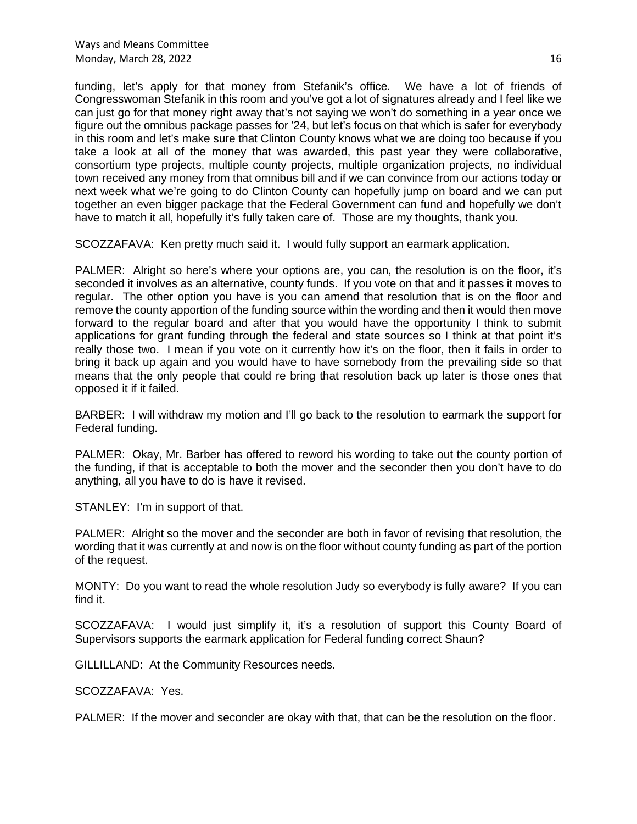funding, let's apply for that money from Stefanik's office. We have a lot of friends of Congresswoman Stefanik in this room and you've got a lot of signatures already and I feel like we can just go for that money right away that's not saying we won't do something in a year once we figure out the omnibus package passes for '24, but let's focus on that which is safer for everybody in this room and let's make sure that Clinton County knows what we are doing too because if you take a look at all of the money that was awarded, this past year they were collaborative, consortium type projects, multiple county projects, multiple organization projects, no individual town received any money from that omnibus bill and if we can convince from our actions today or next week what we're going to do Clinton County can hopefully jump on board and we can put together an even bigger package that the Federal Government can fund and hopefully we don't have to match it all, hopefully it's fully taken care of. Those are my thoughts, thank you.

SCOZZAFAVA: Ken pretty much said it. I would fully support an earmark application.

PALMER: Alright so here's where your options are, you can, the resolution is on the floor, it's seconded it involves as an alternative, county funds. If you vote on that and it passes it moves to regular. The other option you have is you can amend that resolution that is on the floor and remove the county apportion of the funding source within the wording and then it would then move forward to the regular board and after that you would have the opportunity I think to submit applications for grant funding through the federal and state sources so I think at that point it's really those two. I mean if you vote on it currently how it's on the floor, then it fails in order to bring it back up again and you would have to have somebody from the prevailing side so that means that the only people that could re bring that resolution back up later is those ones that opposed it if it failed.

BARBER: I will withdraw my motion and I'll go back to the resolution to earmark the support for Federal funding.

PALMER: Okay, Mr. Barber has offered to reword his wording to take out the county portion of the funding, if that is acceptable to both the mover and the seconder then you don't have to do anything, all you have to do is have it revised.

STANLEY: I'm in support of that.

PALMER: Alright so the mover and the seconder are both in favor of revising that resolution, the wording that it was currently at and now is on the floor without county funding as part of the portion of the request.

MONTY: Do you want to read the whole resolution Judy so everybody is fully aware? If you can find it.

SCOZZAFAVA: I would just simplify it, it's a resolution of support this County Board of Supervisors supports the earmark application for Federal funding correct Shaun?

GILLILLAND: At the Community Resources needs.

SCOZZAFAVA: Yes.

PALMER: If the mover and seconder are okay with that, that can be the resolution on the floor.